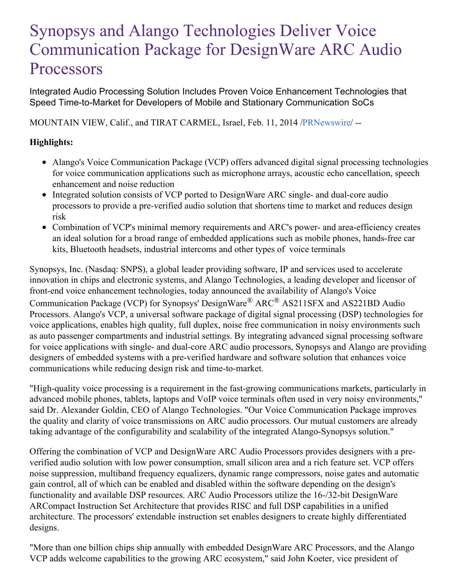# Synopsys and Alango Technologies Deliver Voice Communication Package for DesignWare ARC Audio **Processors**

Integrated Audio Processing Solution Includes Proven Voice Enhancement Technologies that Speed Time-to-Market for Developers of Mobile and Stationary Communication SoCs

MOUNTAIN VIEW, Calif., and TIRAT CARMEL, Israel, Feb. 11, 2014 [/PRNewswire](http://www.prnewswire.com/)/ --

## **Highlights:**

- Alango's Voice Communication Package (VCP) offers advanced digital signal processing technologies for voice communication applications such as microphone arrays, acoustic echo cancellation, speech enhancement and noise reduction
- Integrated solution consists of VCP ported to DesignWare ARC single- and dual-core audio processors to provide a pre-verified audio solution that shortens time to market and reduces design risk
- Combination of VCP's minimal memory requirements and ARC's power- and area-efficiency creates an ideal solution for a broad range of embedded applications such as mobile phones, hands-free car kits, Bluetooth headsets, industrial intercoms and other types of voice terminals

Synopsys, Inc. (Nasdaq: SNPS), a global leader providing software, IP and services used to accelerate innovation in chips and electronic systems, and Alango Technologies, a leading developer and licensor of front-end voice enhancement technologies, today announced the availability of Alango's Voice Communication Package (VCP) for Synopsys' DesignWare<sup>®</sup> ARC<sup>®</sup> AS211SFX and AS221BD Audio Processors. Alango's VCP, a universal software package of digital signal processing (DSP) technologies for voice applications, enables high quality, full duplex, noise free communication in noisy environments such as auto passenger compartments and industrial settings. By integrating advanced signal processing software for voice applications with single- and dual-core ARC audio processors, Synopsys and Alango are providing designers of embedded systems with a pre-verified hardware and software solution that enhances voice communications while reducing design risk and time-to-market.

"High-quality voice processing is a requirement in the fast-growing communications markets, particularly in advanced mobile phones, tablets, laptops and VoIP voice terminals often used in very noisy environments," said Dr. Alexander Goldin, CEO of Alango Technologies. "Our Voice Communication Package improves the quality and clarity of voice transmissions on ARC audio processors. Our mutual customers are already taking advantage of the configurability and scalability of the integrated Alango-Synopsys solution."

Offering the combination of VCP and DesignWare ARC Audio Processors provides designers with a preverified audio solution with low power consumption, small silicon area and a rich feature set. VCP offers noise suppression, multiband frequency equalizers, dynamic range compressors, noise gates and automatic gain control, all of which can be enabled and disabled within the software depending on the design's functionality and available DSP resources. ARC Audio Processors utilize the 16-/32-bit DesignWare ARCompact Instruction Set Architecture that provides RISC and full DSP capabilities in a unified architecture. The processors' extendable instruction set enables designers to create highly differentiated designs.

"More than one billion chips ship annually with embedded DesignWare ARC Processors, and the Alango VCP adds welcome capabilities to the growing ARC ecosystem," said John Koeter, vice president of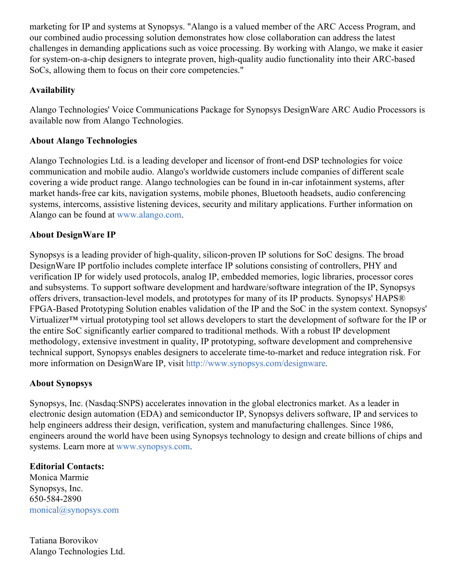marketing for IP and systems at Synopsys. "Alango is a valued member of the ARC Access Program, and our combined audio processing solution demonstrates how close collaboration can address the latest challenges in demanding applications such as voice processing. By working with Alango, we make it easier for system-on-a-chip designers to integrate proven, high-quality audio functionality into their ARC-based SoCs, allowing them to focus on their core competencies."

#### **Availability**

Alango Technologies' Voice Communications Package for Synopsys DesignWare ARC Audio Processors is available now from Alango Technologies.

#### **About Alango Technologies**

Alango Technologies Ltd. is a leading developer and licensor of front-end DSP technologies for voice communication and mobile audio. Alango's worldwide customers include companies of different scale covering a wide product range. Alango technologies can be found in in-car infotainment systems, after market hands-free car kits, navigation systems, mobile phones, Bluetooth headsets, audio conferencing systems, intercoms, assistive listening devices, security and military applications. Further information on Alango can be found at [www.alango.com](http://www.alango.com/).

### **About DesignWare IP**

Synopsys is a leading provider of high-quality, silicon-proven IP solutions for SoC designs. The broad DesignWare IP portfolio includes complete interface IP solutions consisting of controllers, PHY and verification IP for widely used protocols, analog IP, embedded memories, logic libraries, processor cores and subsystems. To support software development and hardware/software integration of the IP, Synopsys offers drivers, transaction-level models, and prototypes for many of its IP products. Synopsys' HAPS® FPGA-Based Prototyping Solution enables validation of the IP and the SoC in the system context. Synopsys' Virtualizer™ virtual prototyping tool set allows developers to start the development of software for the IP or the entire SoC significantly earlier compared to traditional methods. With a robust IP development methodology, extensive investment in quality, IP prototyping, software development and comprehensive technical support, Synopsys enables designers to accelerate time-to-market and reduce integration risk. For more information on DesignWare IP, visit <http://www.synopsys.com/designware>.

#### **About Synopsys**

Synopsys, Inc. (Nasdaq:SNPS) accelerates innovation in the global electronics market. As a leader in electronic design automation (EDA) and semiconductor IP, Synopsys delivers software, IP and services to help engineers address their design, verification, system and manufacturing challenges. Since 1986, engineers around the world have been using Synopsys technology to design and create billions of chips and systems. Learn more at [www.synopsys.com](http://www.synopsys.com/).

#### **Editorial Contacts:**

Monica Marmie Synopsys, Inc. 650-584-2890 [monical@synopsys.com](mailto:monical@synopsys.com)

Tatiana Borovikov Alango Technologies Ltd.